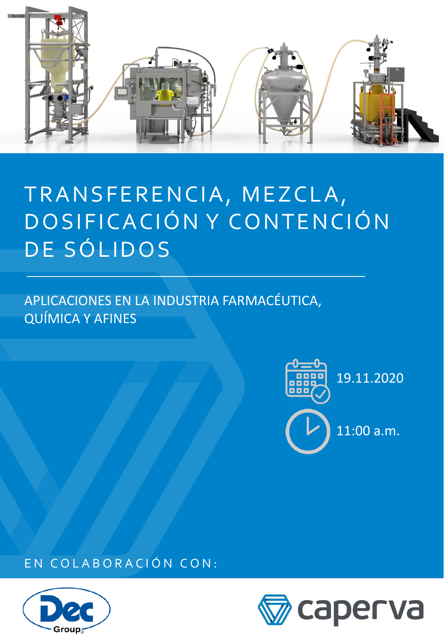

# TRANSFERENCIA, MEZCLA, DO SIFICACIÓN Y CONTENCIÓN DE SÓLIDOS

APLICACIONES EN LA INDUSTRIA FARMACÉUTICA, QUÍMICA Y AFINES



EN COLABORACIÓN CON:



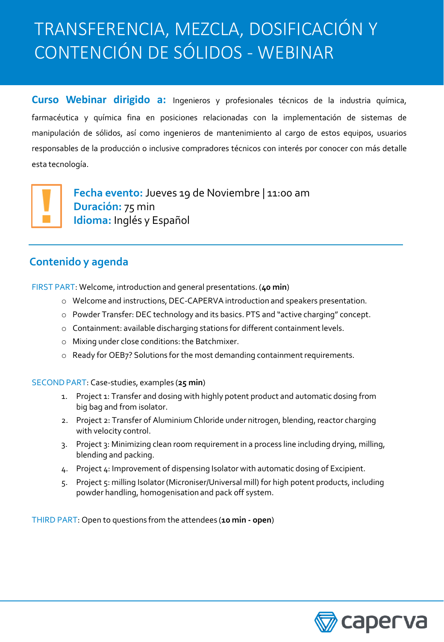## TRANSFERENCIA, MEZCLA, DOSIFICACIÓN Y CONTENCIÓN DE SÓLIDOS - WEBINAR

**Curso Webinar dirigido a:** Ingenieros y profesionales técnicos de la industria química, farmacéutica y química fina en posiciones relacionadas con la implementación de sistemas de manipulación de sólidos, así como ingenieros de mantenimiento al cargo de estos equipos, usuarios responsables de la producción o inclusive compradores técnicos con interés por conocer con más detalle esta tecnología.



**Fecha evento:** Jueves 19 de Noviembre | 11:00 am **Duración:** 75 min **Idioma:** Inglés y Español

### **Contenido y agenda**

FIRST PART: Welcome, introduction and general presentations. (**40 min**)

- o Welcome and instructions, DEC-CAPERVA introduction and speakers presentation.
- o Powder Transfer: DEC technology and its basics. PTS and "active charging" concept.
- o Containment: available discharging stations for different containment levels.
- o Mixing under close conditions: the Batchmixer.
- o Ready for OEB7? Solutions for the most demanding containment requirements.

SECOND PART: Case-studies, examples (**25 min**)

- 1. Project 1: Transfer and dosing with highly potent product and automatic dosing from big bag and from isolator.
- 2. Project 2: Transfer of Aluminium Chloride under nitrogen, blending, reactor charging with velocity control.
- 3. Project 3: Minimizing clean room requirement in a process line including drying, milling, blending and packing.
- 4. Project 4: Improvement of dispensing Isolator with automatic dosing of Excipient.
- 5. Project 5: milling Isolator (Microniser/Universal mill) for high potent products, including powder handling, homogenisation and pack off system.

THIRD PART: Open to questions from the attendees (**10 min - open**)

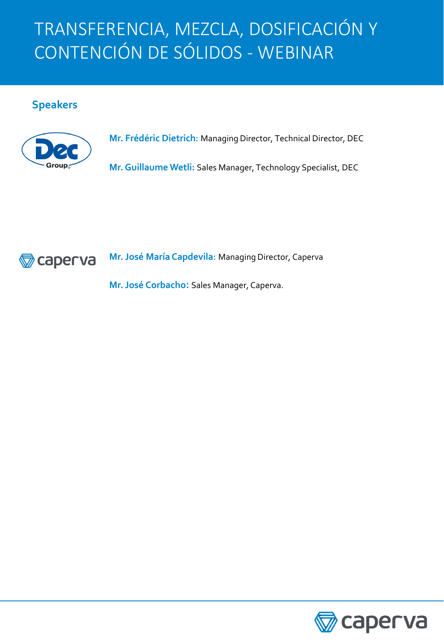## TRANSFERENCIA, MEZCLA, DOSIFICACIÓN Y CONTENCIÓN DE SÓLIDOS - WEBINAR

#### **Speakers**



**Mr. Frédéric Dietrich:** Managing Director, Technical Director, DEC

**Mr.GuillaumeWetli:** Sales Manager, Technology Specialist, DEC



**Mr. José María Capdevila:** Managing Director, Caperva

**Mr. José Corbacho:** Sales Manager, Caperva.